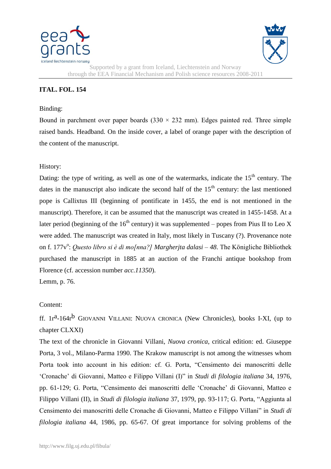



Supported by a grant from Iceland, Liechtenstein and Norway through the EEA Financial Mechanism and Polish science resources 2008-2011

## **ITAL. FOL. 154**

## Binding:

Bound in parchment over paper boards  $(330 \times 232 \text{ mm})$ . Edges painted red. Three simple raised bands. Headband. On the inside cover, a label of orange paper with the description of the content of the manuscript.

## History:

Dating: the type of writing, as well as one of the watermarks, indicate the  $15<sup>th</sup>$  century. The dates in the manuscript also indicate the second half of the  $15<sup>th</sup>$  century: the last mentioned pope is Callixtus III (beginning of pontificate in 1455, the end is not mentioned in the manuscript). Therefore, it can be assumed that the manuscript was created in 1455-1458. At a later period (beginning of the  $16<sup>th</sup>$  century) it was supplemented – popes from Pius II to Leo X were added. The manuscript was created in Italy, most likely in Tuscany (?). Provenance note on f. 177v<sup>o</sup>: *Questo libro si è di mo[nna?] Margherjta dalasi* – 48. The Königliche Bibliothek purchased the manuscript in 1885 at an auction of the Franchi antique bookshop from Florence (cf. accession number *acc.11350*).

Lemm, p. 76.

## Content:

ff.  $1r^2-164r^b$  GIOVANNI VILLANI: NUOVA CRONICA (New Chronicles), books I-XI, (up to chapter CLXXI)

The text of the chronicle in Giovanni Villani, *Nuova cronica*, critical edition: ed. Giuseppe Porta, 3 vol., Milano-Parma 1990. The Krakow manuscript is not among the witnesses whom Porta took into account in his edition: cf. G. Porta, "Censimento dei manoscritti delle "Cronache" di Giovanni, Matteo e Filippo Villani (I)" in *Studi di filologia italiana* 34, 1976, pp. 61-129; G. Porta, "Censimento dei manoscritti delle "Cronache" di Giovanni, Matteo e Filippo Villani (II), in *Studi di filologia italiana* 37, 1979, pp. 93-117; G. Porta, "Aggiunta al Censimento dei manoscritti delle Cronache di Giovanni, Matteo e Filippo Villani" in *Studi di filologia italiana* 44, 1986, pp. 65-67. Of great importance for solving problems of the